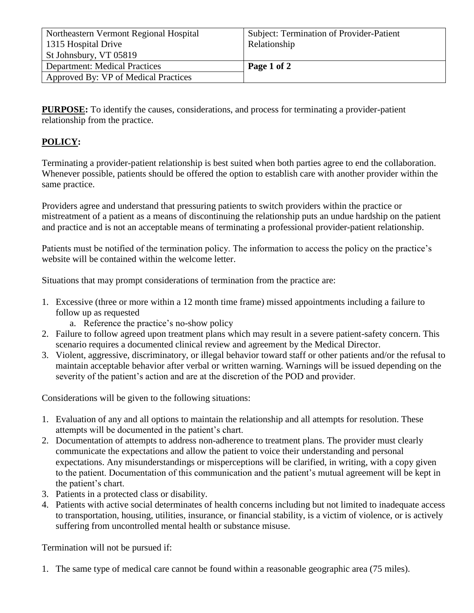| Northeastern Vermont Regional Hospital | Subject: Termination of Provider-Patient |
|----------------------------------------|------------------------------------------|
| 1315 Hospital Drive                    | Relationship                             |
| St Johnsbury, VT 05819                 |                                          |
| <b>Department: Medical Practices</b>   | Page 1 of 2                              |
| Approved By: VP of Medical Practices   |                                          |

**PURPOSE:** To identify the causes, considerations, and process for terminating a provider-patient relationship from the practice.

## **POLICY:**

Terminating a provider-patient relationship is best suited when both parties agree to end the collaboration. Whenever possible, patients should be offered the option to establish care with another provider within the same practice.

Providers agree and understand that pressuring patients to switch providers within the practice or mistreatment of a patient as a means of discontinuing the relationship puts an undue hardship on the patient and practice and is not an acceptable means of terminating a professional provider-patient relationship.

Patients must be notified of the termination policy. The information to access the policy on the practice's website will be contained within the welcome letter.

Situations that may prompt considerations of termination from the practice are:

- 1. Excessive (three or more within a 12 month time frame) missed appointments including a failure to follow up as requested
	- a. Reference the practice's no-show policy
- 2. Failure to follow agreed upon treatment plans which may result in a severe patient-safety concern. This scenario requires a documented clinical review and agreement by the Medical Director.
- 3. Violent, aggressive, discriminatory, or illegal behavior toward staff or other patients and/or the refusal to maintain acceptable behavior after verbal or written warning. Warnings will be issued depending on the severity of the patient's action and are at the discretion of the POD and provider.

Considerations will be given to the following situations:

- 1. Evaluation of any and all options to maintain the relationship and all attempts for resolution. These attempts will be documented in the patient's chart.
- 2. Documentation of attempts to address non-adherence to treatment plans. The provider must clearly communicate the expectations and allow the patient to voice their understanding and personal expectations. Any misunderstandings or misperceptions will be clarified, in writing, with a copy given to the patient. Documentation of this communication and the patient's mutual agreement will be kept in the patient's chart.
- 3. Patients in a protected class or disability.
- 4. Patients with active social determinates of health concerns including but not limited to inadequate access to transportation, housing, utilities, insurance, or financial stability, is a victim of violence, or is actively suffering from uncontrolled mental health or substance misuse.

Termination will not be pursued if:

1. The same type of medical care cannot be found within a reasonable geographic area (75 miles).